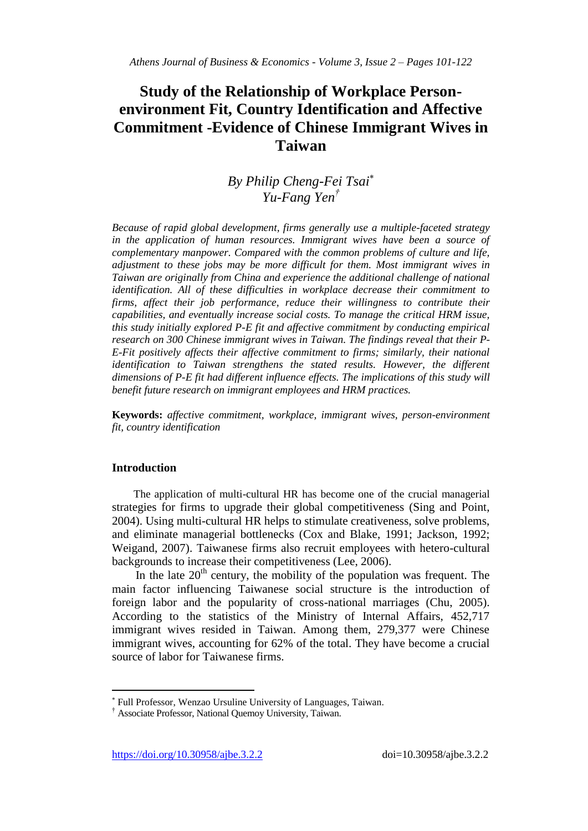# **Study of the Relationship of Workplace Personenvironment Fit, Country Identification and Affective Commitment -Evidence of Chinese Immigrant Wives in Taiwan**

## *By Philip Cheng-Fei Tsai Yu-Fang Yen†*

*Because of rapid global development, firms generally use a multiple-faceted strategy*  in the application of human resources. Immigrant wives have been a source of *complementary manpower. Compared with the common problems of culture and life, adjustment to these jobs may be more difficult for them. Most immigrant wives in Taiwan are originally from China and experience the additional challenge of national identification. All of these difficulties in workplace decrease their commitment to firms, affect their job performance, reduce their willingness to contribute their capabilities, and eventually increase social costs. To manage the critical HRM issue, this study initially explored P-E fit and affective commitment by conducting empirical research on 300 Chinese immigrant wives in Taiwan. The findings reveal that their P-E-Fit positively affects their affective commitment to firms; similarly, their national identification to Taiwan strengthens the stated results. However, the different dimensions of P-E fit had different influence effects. The implications of this study will benefit future research on immigrant employees and HRM practices.* 

**Keywords:** *affective commitment, workplace, immigrant wives, person-environment fit, country identification*

## **Introduction**

 $\overline{\phantom{a}}$ 

The application of multi-cultural HR has become one of the crucial managerial strategies for firms to upgrade their global competitiveness (Sing and Point, 2004). Using multi-cultural HR helps to stimulate creativeness, solve problems, and eliminate managerial bottlenecks (Cox and Blake, 1991; Jackson, 1992; Weigand, 2007). Taiwanese firms also recruit employees with hetero-cultural backgrounds to increase their competitiveness (Lee, 2006).

In the late  $20<sup>th</sup>$  century, the mobility of the population was frequent. The main factor influencing Taiwanese social structure is the introduction of foreign labor and the popularity of cross-national marriages (Chu, 2005). According to the statistics of the Ministry of Internal Affairs, 452,717 immigrant wives resided in Taiwan. Among them, 279,377 were Chinese immigrant wives, accounting for 62% of the total. They have become a crucial source of labor for Taiwanese firms.

Full Professor, Wenzao Ursuline University of Languages, Taiwan.

<sup>†</sup> Associate Professor, National Quemoy University, Taiwan.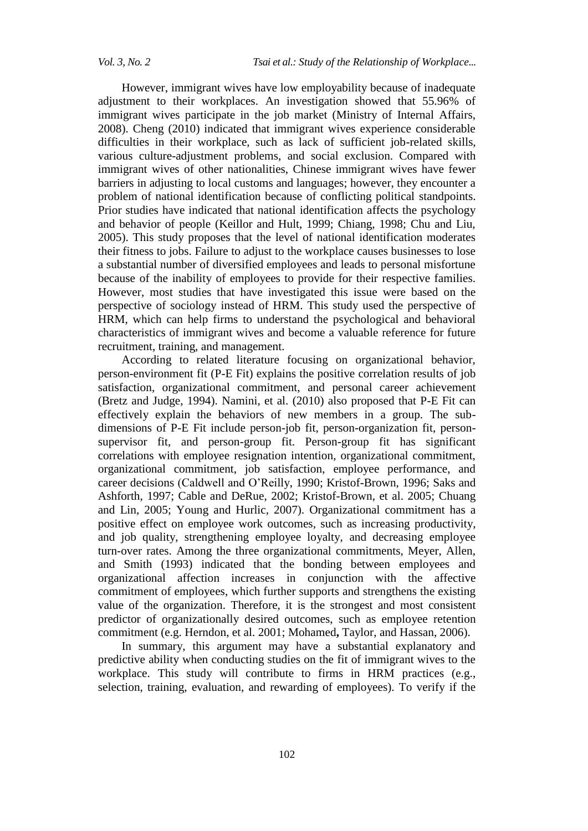However, immigrant wives have low employability because of inadequate adjustment to their workplaces. An investigation showed that 55.96% of immigrant wives participate in the job market (Ministry of Internal Affairs, 2008). Cheng (2010) indicated that immigrant wives experience considerable difficulties in their workplace, such as lack of sufficient job-related skills, various culture-adjustment problems, and social exclusion. Compared with immigrant wives of other nationalities, Chinese immigrant wives have fewer barriers in adjusting to local customs and languages; however, they encounter a problem of national identification because of conflicting political standpoints. Prior studies have indicated that national identification affects the psychology and behavior of people (Keillor and Hult, 1999; Chiang, 1998; Chu and Liu, 2005). This study proposes that the level of national identification moderates their fitness to jobs. Failure to adjust to the workplace causes businesses to lose a substantial number of diversified employees and leads to personal misfortune because of the inability of employees to provide for their respective families. However, most studies that have investigated this issue were based on the perspective of sociology instead of HRM. This study used the perspective of HRM, which can help firms to understand the psychological and behavioral characteristics of immigrant wives and become a valuable reference for future recruitment, training, and management.

According to related literature focusing on organizational behavior, person-environment fit (P-E Fit) explains the positive correlation results of job satisfaction, organizational commitment, and personal career achievement (Bretz and Judge, 1994). Namini, et al. (2010) also proposed that P-E Fit can effectively explain the behaviors of new members in a group. The subdimensions of P-E Fit include person-job fit, person-organization fit, personsupervisor fit, and person-group fit. Person-group fit has significant correlations with employee resignation intention, organizational commitment, organizational commitment, job satisfaction, employee performance, and career decisions (Caldwell and O'Reilly, 1990; Kristof-Brown, 1996; Saks and Ashforth, 1997; Cable and DeRue, 2002; Kristof-Brown, et al. 2005; Chuang and Lin, 2005; Young and Hurlic, 2007). Organizational commitment has a positive effect on employee work outcomes, such as increasing productivity, and job quality, strengthening employee loyalty, and decreasing employee turn-over rates. Among the three organizational commitments, Meyer, Allen, and Smith (1993) indicated that the bonding between employees and organizational affection increases in conjunction with the affective commitment of employees, which further supports and strengthens the existing value of the organization. Therefore, it is the strongest and most consistent predictor of organizationally desired outcomes, such as employee retention commitment (e.g. Herndon, et al. 2001; Mohamed**,** Taylor, and Hassan, 2006).

In summary, this argument may have a substantial explanatory and predictive ability when conducting studies on the fit of immigrant wives to the workplace. This study will contribute to firms in HRM practices (e.g., selection, training, evaluation, and rewarding of employees). To verify if the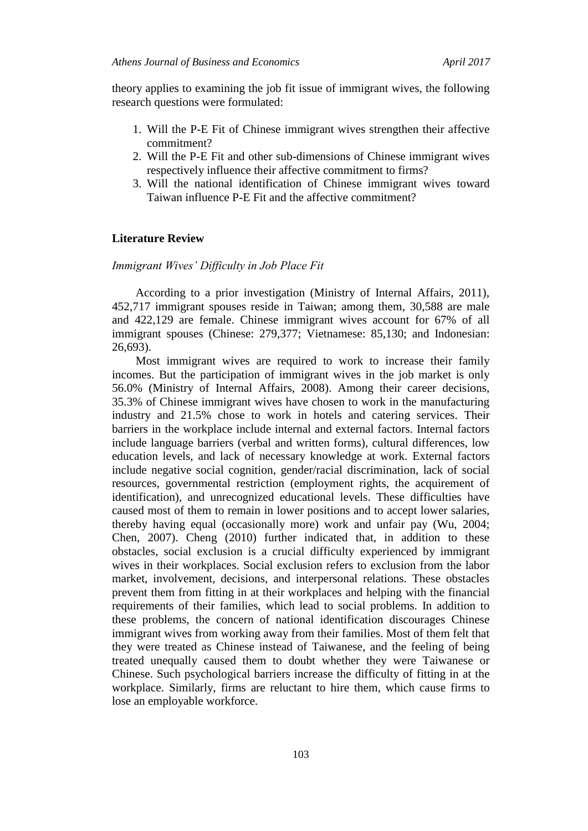theory applies to examining the job fit issue of immigrant wives, the following research questions were formulated:

- 1. Will the P-E Fit of Chinese immigrant wives strengthen their affective commitment?
- 2. Will the P-E Fit and other sub-dimensions of Chinese immigrant wives respectively influence their affective commitment to firms?
- 3. Will the national identification of Chinese immigrant wives toward Taiwan influence P-E Fit and the affective commitment?

## **Literature Review**

*Immigrant Wives' Difficulty in Job Place Fit*

According to a prior investigation (Ministry of Internal Affairs, 2011), 452,717 immigrant spouses reside in Taiwan; among them, 30,588 are male and 422,129 are female. Chinese immigrant wives account for 67% of all immigrant spouses (Chinese: 279,377; Vietnamese: 85,130; and Indonesian: 26,693).

Most immigrant wives are required to work to increase their family incomes. But the participation of immigrant wives in the job market is only 56.0% (Ministry of Internal Affairs, 2008). Among their career decisions, 35.3% of Chinese immigrant wives have chosen to work in the manufacturing industry and 21.5% chose to work in hotels and catering services. Their barriers in the workplace include internal and external factors. Internal factors include language barriers (verbal and written forms), cultural differences, low education levels, and lack of necessary knowledge at work. External factors include negative social cognition, gender/racial discrimination, lack of social resources, governmental restriction (employment rights, the acquirement of identification), and unrecognized educational levels. These difficulties have caused most of them to remain in lower positions and to accept lower salaries, thereby having equal (occasionally more) work and unfair pay (Wu, 2004; Chen, 2007). Cheng (2010) further indicated that, in addition to these obstacles, social exclusion is a crucial difficulty experienced by immigrant wives in their workplaces. Social exclusion refers to exclusion from the labor market, involvement, decisions, and interpersonal relations. These obstacles prevent them from fitting in at their workplaces and helping with the financial requirements of their families, which lead to social problems. In addition to these problems, the concern of national identification discourages Chinese immigrant wives from working away from their families. Most of them felt that they were treated as Chinese instead of Taiwanese, and the feeling of being treated unequally caused them to doubt whether they were Taiwanese or Chinese. Such psychological barriers increase the difficulty of fitting in at the workplace. Similarly, firms are reluctant to hire them, which cause firms to lose an employable workforce.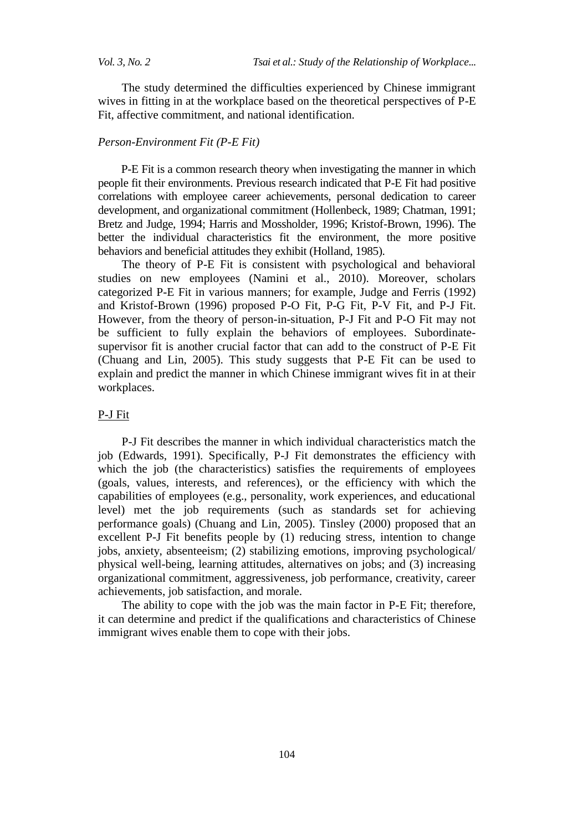The study determined the difficulties experienced by Chinese immigrant wives in fitting in at the workplace based on the theoretical perspectives of P-E Fit, affective commitment, and national identification.

## *Person-Environment Fit (P-E Fit)*

P-E Fit is a common research theory when investigating the manner in which people fit their environments. Previous research indicated that P-E Fit had positive correlations with employee career achievements, personal dedication to career development, and organizational commitment (Hollenbeck, 1989; Chatman, 1991; Bretz and Judge, 1994; Harris and Mossholder, 1996; Kristof-Brown, 1996). The better the individual characteristics fit the environment, the more positive behaviors and beneficial attitudes they exhibit (Holland, 1985).

The theory of P-E Fit is consistent with psychological and behavioral studies on new employees (Namini et al., 2010). Moreover, scholars categorized P-E Fit in various manners; for example, Judge and Ferris (1992) and Kristof-Brown (1996) proposed P-O Fit, P-G Fit, P-V Fit, and P-J Fit. However, from the theory of person-in-situation, P-J Fit and P-O Fit may not be sufficient to fully explain the behaviors of employees. Subordinatesupervisor fit is another crucial factor that can add to the construct of P-E Fit (Chuang and Lin, 2005). This study suggests that P-E Fit can be used to explain and predict the manner in which Chinese immigrant wives fit in at their workplaces.

## P-J Fit

P-J Fit describes the manner in which individual characteristics match the job (Edwards, 1991). Specifically, P-J Fit demonstrates the efficiency with which the job (the characteristics) satisfies the requirements of employees (goals, values, interests, and references), or the efficiency with which the capabilities of employees (e.g., personality, work experiences, and educational level) met the job requirements (such as standards set for achieving performance goals) (Chuang and Lin, 2005). Tinsley (2000) proposed that an excellent P-J Fit benefits people by (1) reducing stress, intention to change jobs, anxiety, absenteeism; (2) stabilizing emotions, improving psychological/ physical well-being, learning attitudes, alternatives on jobs; and (3) increasing organizational commitment, aggressiveness, job performance, creativity, career achievements, job satisfaction, and morale.

The ability to cope with the job was the main factor in P-E Fit; therefore, it can determine and predict if the qualifications and characteristics of Chinese immigrant wives enable them to cope with their jobs.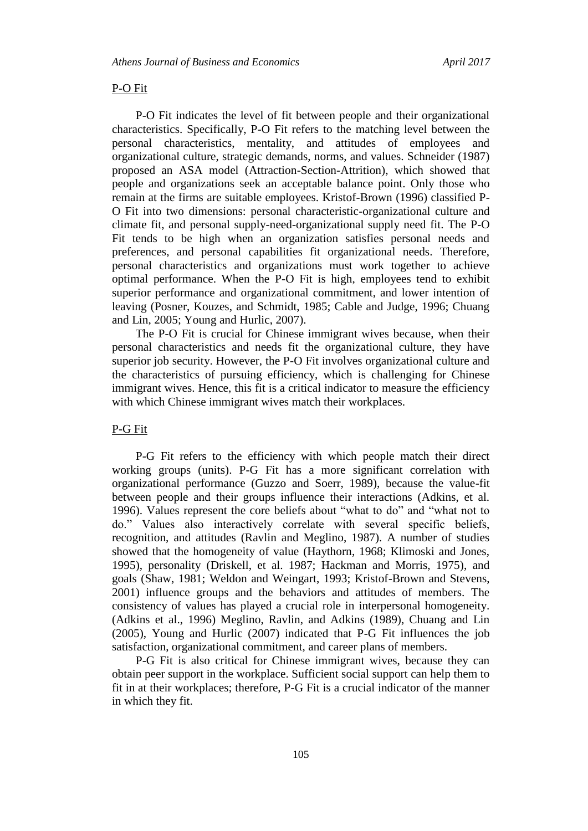### P-O Fit

P-O Fit indicates the level of fit between people and their organizational characteristics. Specifically, P-O Fit refers to the matching level between the personal characteristics, mentality, and attitudes of employees and organizational culture, strategic demands, norms, and values. Schneider (1987) proposed an ASA model (Attraction-Section-Attrition), which showed that people and organizations seek an acceptable balance point. Only those who remain at the firms are suitable employees. Kristof-Brown (1996) classified P-O Fit into two dimensions: personal characteristic-organizational culture and climate fit, and personal supply-need-organizational supply need fit. The P-O Fit tends to be high when an organization satisfies personal needs and preferences, and personal capabilities fit organizational needs. Therefore, personal characteristics and organizations must work together to achieve optimal performance. When the P-O Fit is high, employees tend to exhibit superior performance and organizational commitment, and lower intention of leaving (Posner, Kouzes, and Schmidt, 1985; Cable and Judge, 1996; Chuang and Lin, 2005; Young and Hurlic, 2007).

The P-O Fit is crucial for Chinese immigrant wives because, when their personal characteristics and needs fit the organizational culture, they have superior job security. However, the P-O Fit involves organizational culture and the characteristics of pursuing efficiency, which is challenging for Chinese immigrant wives. Hence, this fit is a critical indicator to measure the efficiency with which Chinese immigrant wives match their workplaces.

#### P-G Fit

P-G Fit refers to the efficiency with which people match their direct working groups (units). P-G Fit has a more significant correlation with organizational performance (Guzzo and Soerr, 1989), because the value-fit between people and their groups influence their interactions (Adkins, et al. 1996). Values represent the core beliefs about "what to do" and "what not to do." Values also interactively correlate with several specific beliefs, recognition, and attitudes (Ravlin and Meglino, 1987). A number of studies showed that the homogeneity of value (Haythorn, 1968; Klimoski and Jones, 1995), personality (Driskell, et al. 1987; Hackman and Morris, 1975), and goals (Shaw, 1981; Weldon and Weingart, 1993; Kristof-Brown and Stevens, 2001) influence groups and the behaviors and attitudes of members. The consistency of values has played a crucial role in interpersonal homogeneity. (Adkins et al., 1996) Meglino, Ravlin, and Adkins (1989), Chuang and Lin (2005), Young and Hurlic (2007) indicated that P-G Fit influences the job satisfaction, organizational commitment, and career plans of members.

P-G Fit is also critical for Chinese immigrant wives, because they can obtain peer support in the workplace. Sufficient social support can help them to fit in at their workplaces; therefore, P-G Fit is a crucial indicator of the manner in which they fit.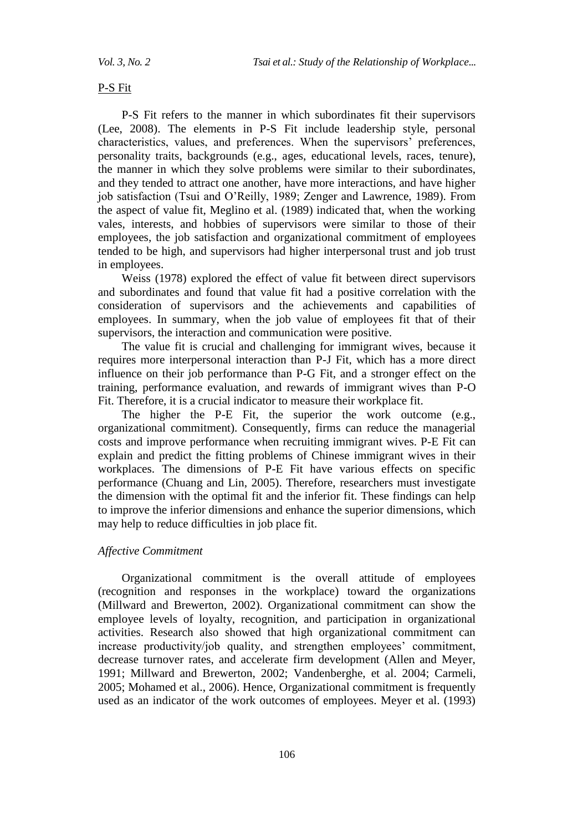### P-S Fit

P-S Fit refers to the manner in which subordinates fit their supervisors (Lee, 2008). The elements in P-S Fit include leadership style, personal characteristics, values, and preferences. When the supervisors' preferences, personality traits, backgrounds (e.g., ages, educational levels, races, tenure), the manner in which they solve problems were similar to their subordinates, and they tended to attract one another, have more interactions, and have higher job satisfaction (Tsui and O'Reilly, 1989; Zenger and Lawrence, 1989). From the aspect of value fit, Meglino et al. (1989) indicated that, when the working vales, interests, and hobbies of supervisors were similar to those of their employees, the job satisfaction and organizational commitment of employees tended to be high, and supervisors had higher interpersonal trust and job trust in employees.

Weiss (1978) explored the effect of value fit between direct supervisors and subordinates and found that value fit had a positive correlation with the consideration of supervisors and the achievements and capabilities of employees. In summary, when the job value of employees fit that of their supervisors, the interaction and communication were positive.

The value fit is crucial and challenging for immigrant wives, because it requires more interpersonal interaction than P-J Fit, which has a more direct influence on their job performance than P-G Fit, and a stronger effect on the training, performance evaluation, and rewards of immigrant wives than P-O Fit. Therefore, it is a crucial indicator to measure their workplace fit.

The higher the P-E Fit, the superior the work outcome (e.g., organizational commitment). Consequently, firms can reduce the managerial costs and improve performance when recruiting immigrant wives. P-E Fit can explain and predict the fitting problems of Chinese immigrant wives in their workplaces. The dimensions of P-E Fit have various effects on specific performance (Chuang and Lin, 2005). Therefore, researchers must investigate the dimension with the optimal fit and the inferior fit. These findings can help to improve the inferior dimensions and enhance the superior dimensions, which may help to reduce difficulties in job place fit.

#### *Affective Commitment*

Organizational commitment is the overall attitude of employees (recognition and responses in the workplace) toward the organizations (Millward and Brewerton, 2002). Organizational commitment can show the employee levels of loyalty, recognition, and participation in organizational activities. Research also showed that high organizational commitment can increase productivity/job quality, and strengthen employees' commitment, decrease turnover rates, and accelerate firm development (Allen and Meyer, 1991; Millward and Brewerton, 2002; Vandenberghe, et al. 2004; Carmeli, 2005; Mohamed et al., 2006). Hence, Organizational commitment is frequently used as an indicator of the work outcomes of employees. Meyer et al. (1993)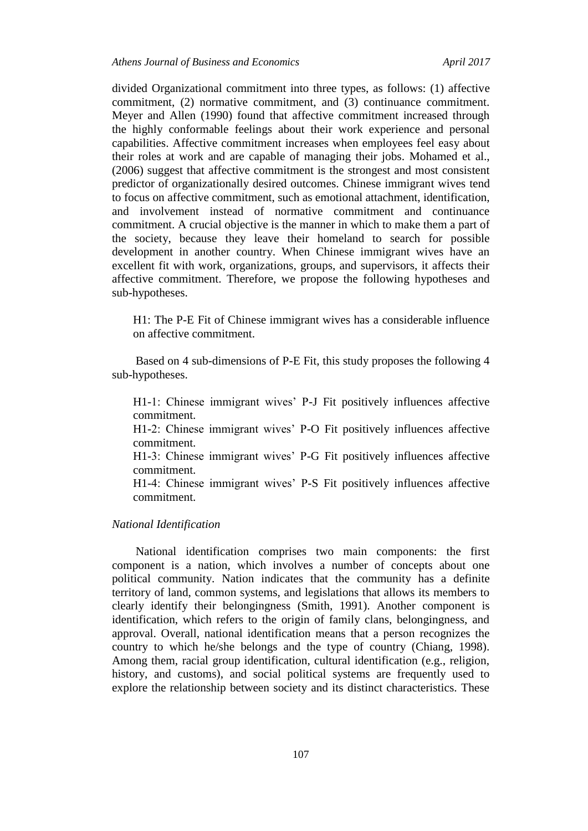divided Organizational commitment into three types, as follows: (1) affective commitment, (2) normative commitment, and (3) continuance commitment. Meyer and Allen (1990) found that affective commitment increased through the highly conformable feelings about their work experience and personal capabilities. Affective commitment increases when employees feel easy about their roles at work and are capable of managing their jobs. Mohamed et al., (2006) suggest that affective commitment is the strongest and most consistent predictor of organizationally desired outcomes. Chinese immigrant wives tend to focus on affective commitment, such as emotional attachment, identification, and involvement instead of normative commitment and continuance commitment. A crucial objective is the manner in which to make them a part of the society, because they leave their homeland to search for possible development in another country. When Chinese immigrant wives have an excellent fit with work, organizations, groups, and supervisors, it affects their affective commitment. Therefore, we propose the following hypotheses and sub-hypotheses.

H1: The P-E Fit of Chinese immigrant wives has a considerable influence on affective commitment.

Based on 4 sub-dimensions of P-E Fit, this study proposes the following 4 sub-hypotheses.

H1-1: Chinese immigrant wives' P-J Fit positively influences affective commitment.

H1-2: Chinese immigrant wives' P-O Fit positively influences affective commitment.

H1-3: Chinese immigrant wives' P-G Fit positively influences affective commitment.

H1-4: Chinese immigrant wives' P-S Fit positively influences affective commitment.

## *National Identification*

National identification comprises two main components: the first component is a nation, which involves a number of concepts about one political community. Nation indicates that the community has a definite territory of land, common systems, and legislations that allows its members to clearly identify their belongingness (Smith, 1991). Another component is identification, which refers to the origin of family clans, belongingness, and approval. Overall, national identification means that a person recognizes the country to which he/she belongs and the type of country (Chiang, 1998). Among them, racial group identification, cultural identification (e.g., religion, history, and customs), and social political systems are frequently used to explore the relationship between society and its distinct characteristics. These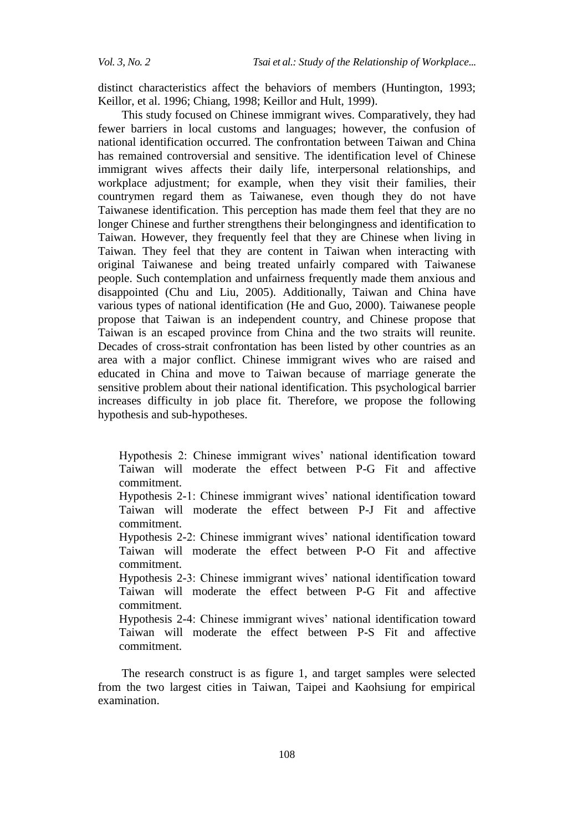distinct characteristics affect the behaviors of members (Huntington, 1993; Keillor, et al. 1996; Chiang, 1998; Keillor and Hult, 1999).

This study focused on Chinese immigrant wives. Comparatively, they had fewer barriers in local customs and languages; however, the confusion of national identification occurred. The confrontation between Taiwan and China has remained controversial and sensitive. The identification level of Chinese immigrant wives affects their daily life, interpersonal relationships, and workplace adjustment; for example, when they visit their families, their countrymen regard them as Taiwanese, even though they do not have Taiwanese identification. This perception has made them feel that they are no longer Chinese and further strengthens their belongingness and identification to Taiwan. However, they frequently feel that they are Chinese when living in Taiwan. They feel that they are content in Taiwan when interacting with original Taiwanese and being treated unfairly compared with Taiwanese people. Such contemplation and unfairness frequently made them anxious and disappointed (Chu and Liu, 2005). Additionally, Taiwan and China have various types of national identification (He and Guo, 2000). Taiwanese people propose that Taiwan is an independent country, and Chinese propose that Taiwan is an escaped province from China and the two straits will reunite. Decades of cross-strait confrontation has been listed by other countries as an area with a major conflict. Chinese immigrant wives who are raised and educated in China and move to Taiwan because of marriage generate the sensitive problem about their national identification. This psychological barrier increases difficulty in job place fit. Therefore, we propose the following hypothesis and sub-hypotheses.

Hypothesis 2: Chinese immigrant wives' national identification toward Taiwan will moderate the effect between P-G Fit and affective commitment.

Hypothesis 2-1: Chinese immigrant wives' national identification toward Taiwan will moderate the effect between P-J Fit and affective commitment.

Hypothesis 2-2: Chinese immigrant wives' national identification toward Taiwan will moderate the effect between P-O Fit and affective commitment.

Hypothesis 2-3: Chinese immigrant wives' national identification toward Taiwan will moderate the effect between P-G Fit and affective commitment.

Hypothesis 2-4: Chinese immigrant wives' national identification toward Taiwan will moderate the effect between P-S Fit and affective commitment.

The research construct is as figure 1, and target samples were selected from the two largest cities in Taiwan, Taipei and Kaohsiung for empirical examination.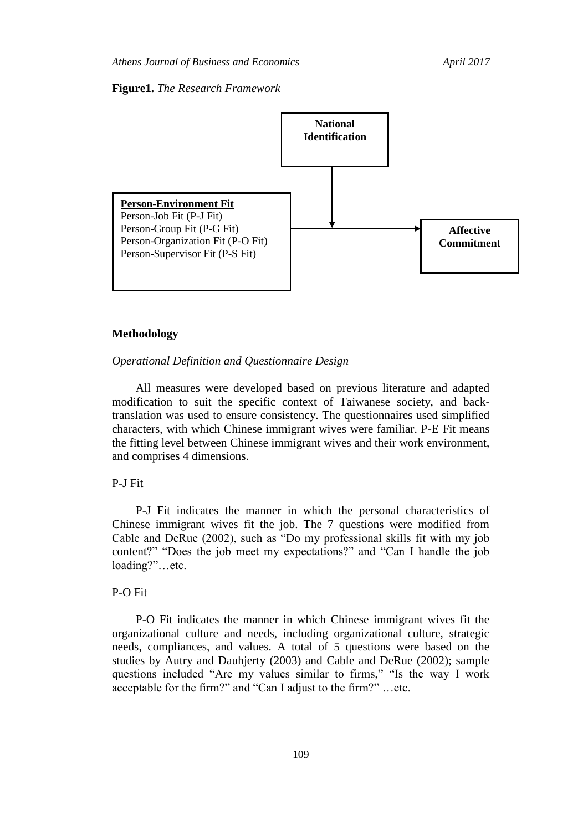#### **Figure1.** *The Research Framework*



#### **Methodology**

## *Operational Definition and Questionnaire Design*

All measures were developed based on previous literature and adapted modification to suit the specific context of Taiwanese society, and backtranslation was used to ensure consistency. The questionnaires used simplified characters, with which Chinese immigrant wives were familiar. P-E Fit means the fitting level between Chinese immigrant wives and their work environment, and comprises 4 dimensions.

## P-J Fit

P-J Fit indicates the manner in which the personal characteristics of Chinese immigrant wives fit the job. The 7 questions were modified from Cable and DeRue (2002), such as "Do my professional skills fit with my job content?" "Does the job meet my expectations?" and "Can I handle the job loading?"…etc.

#### P-O Fit

P-O Fit indicates the manner in which Chinese immigrant wives fit the organizational culture and needs, including organizational culture, strategic needs, compliances, and values. A total of 5 questions were based on the studies by Autry and Dauhjerty (2003) and Cable and DeRue (2002); sample questions included "Are my values similar to firms," "Is the way I work acceptable for the firm?" and "Can I adjust to the firm?" …etc.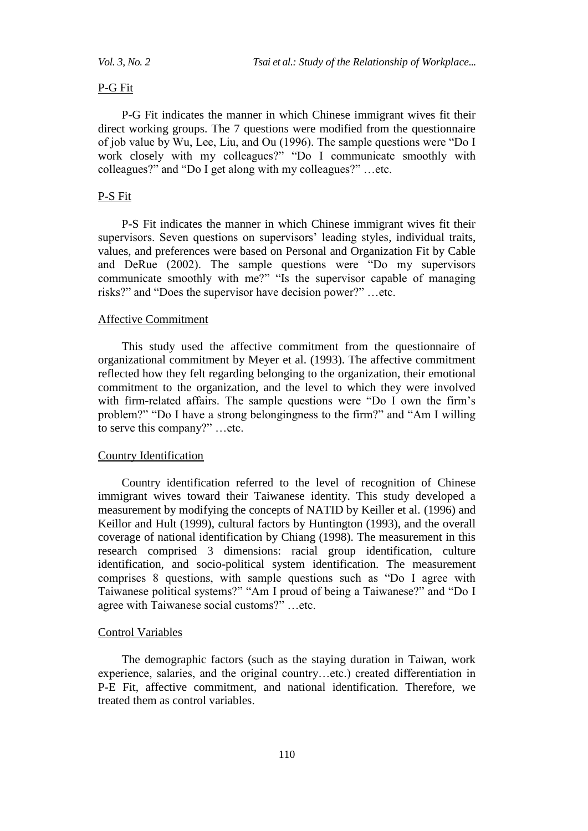## P-G Fit

P-G Fit indicates the manner in which Chinese immigrant wives fit their direct working groups. The 7 questions were modified from the questionnaire of job value by Wu, Lee, Liu, and Ou (1996). The sample questions were "Do I work closely with my colleagues?" "Do I communicate smoothly with colleagues?" and "Do I get along with my colleagues?" …etc.

## P-S Fit

P-S Fit indicates the manner in which Chinese immigrant wives fit their supervisors. Seven questions on supervisors' leading styles, individual traits, values, and preferences were based on Personal and Organization Fit by Cable and DeRue (2002). The sample questions were "Do my supervisors communicate smoothly with me?" "Is the supervisor capable of managing risks?" and "Does the supervisor have decision power?" …etc.

#### Affective Commitment

This study used the affective commitment from the questionnaire of organizational commitment by Meyer et al. (1993). The affective commitment reflected how they felt regarding belonging to the organization, their emotional commitment to the organization, and the level to which they were involved with firm-related affairs. The sample questions were "Do I own the firm's problem?" "Do I have a strong belongingness to the firm?" and "Am I willing to serve this company?" …etc.

#### Country Identification

Country identification referred to the level of recognition of Chinese immigrant wives toward their Taiwanese identity. This study developed a measurement by modifying the concepts of NATID by Keiller et al. (1996) and Keillor and Hult (1999), cultural factors by Huntington (1993), and the overall coverage of national identification by Chiang (1998). The measurement in this research comprised 3 dimensions: racial group identification, culture identification, and socio-political system identification. The measurement comprises 8 questions, with sample questions such as "Do I agree with Taiwanese political systems?" "Am I proud of being a Taiwanese?" and "Do I agree with Taiwanese social customs?" …etc.

#### Control Variables

The demographic factors (such as the staying duration in Taiwan, work experience, salaries, and the original country…etc.) created differentiation in P-E Fit, affective commitment, and national identification. Therefore, we treated them as control variables.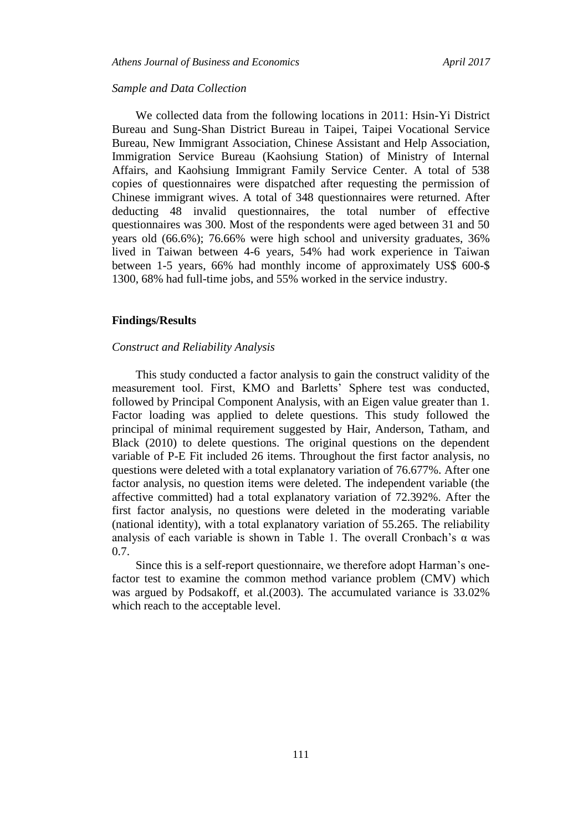#### *Sample and Data Collection*

We collected data from the following locations in 2011: Hsin-Yi District Bureau and Sung-Shan District Bureau in Taipei, Taipei Vocational Service Bureau, New Immigrant Association, Chinese Assistant and Help Association, Immigration Service Bureau (Kaohsiung Station) of Ministry of Internal Affairs, and Kaohsiung Immigrant Family Service Center. A total of 538 copies of questionnaires were dispatched after requesting the permission of Chinese immigrant wives. A total of 348 questionnaires were returned. After deducting 48 invalid questionnaires, the total number of effective questionnaires was 300. Most of the respondents were aged between 31 and 50 years old (66.6%); 76.66% were high school and university graduates, 36% lived in Taiwan between 4-6 years, 54% had work experience in Taiwan between 1-5 years, 66% had monthly income of approximately US\$ 600-\$ 1300, 68% had full-time jobs, and 55% worked in the service industry.

## **Findings/Results**

#### *Construct and Reliability Analysis*

This study conducted a factor analysis to gain the construct validity of the measurement tool. First, KMO and Barletts' Sphere test was conducted, followed by Principal Component Analysis, with an Eigen value greater than 1. Factor loading was applied to delete questions. This study followed the principal of minimal requirement suggested by Hair, Anderson, Tatham, and Black (2010) to delete questions. The original questions on the dependent variable of P-E Fit included 26 items. Throughout the first factor analysis, no questions were deleted with a total explanatory variation of 76.677%. After one factor analysis, no question items were deleted. The independent variable (the affective committed) had a total explanatory variation of 72.392%. After the first factor analysis, no questions were deleted in the moderating variable (national identity), with a total explanatory variation of 55.265. The reliability analysis of each variable is shown in Table 1. The overall Cronbach's  $\alpha$  was 0.7.

Since this is a self-report questionnaire, we therefore adopt Harman's onefactor test to examine the common method variance problem (CMV) which was argued by Podsakoff, et al.(2003). The accumulated variance is 33.02% which reach to the acceptable level.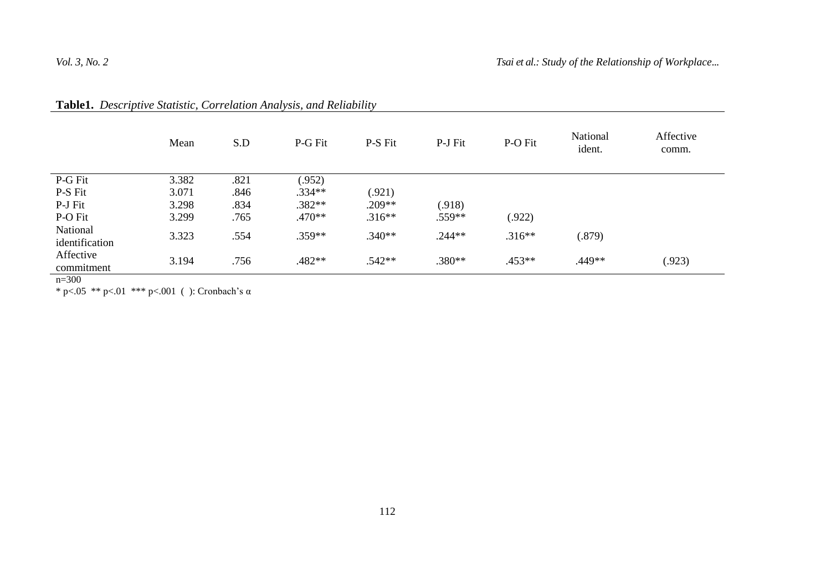|                                | Mean  | S.D  | P-G Fit  | P-S Fit  | P-J Fit  | P-O Fit  | National<br>ident. | Affective<br>comm. |
|--------------------------------|-------|------|----------|----------|----------|----------|--------------------|--------------------|
| P-G Fit                        | 3.382 | .821 | (.952)   |          |          |          |                    |                    |
| P-S Fit                        | 3.071 | .846 | $.334**$ | (.921)   |          |          |                    |                    |
| P-J Fit                        | 3.298 | .834 | $.382**$ | $.209**$ | (.918)   |          |                    |                    |
| P-O Fit                        | 3.299 | .765 | $.470**$ | $.316**$ | $.559**$ | (.922)   |                    |                    |
| National<br>identification     | 3.323 | .554 | $.359**$ | $.340**$ | $.244**$ | $.316**$ | (.879)             |                    |
| Affective<br>commitment<br>200 | 3.194 | .756 | .482**   | $.542**$ | $.380**$ | $.453**$ | .449**             | (.923)             |

|  |  |  |  |  | <b>Table1.</b> Descriptive Statistic, Correlation Analysis, and Reliability |
|--|--|--|--|--|-----------------------------------------------------------------------------|
|--|--|--|--|--|-----------------------------------------------------------------------------|

n=300

\* p<.05 \*\* p<.01 \*\*\* p<.001 ( ): Cronbach's  $\alpha$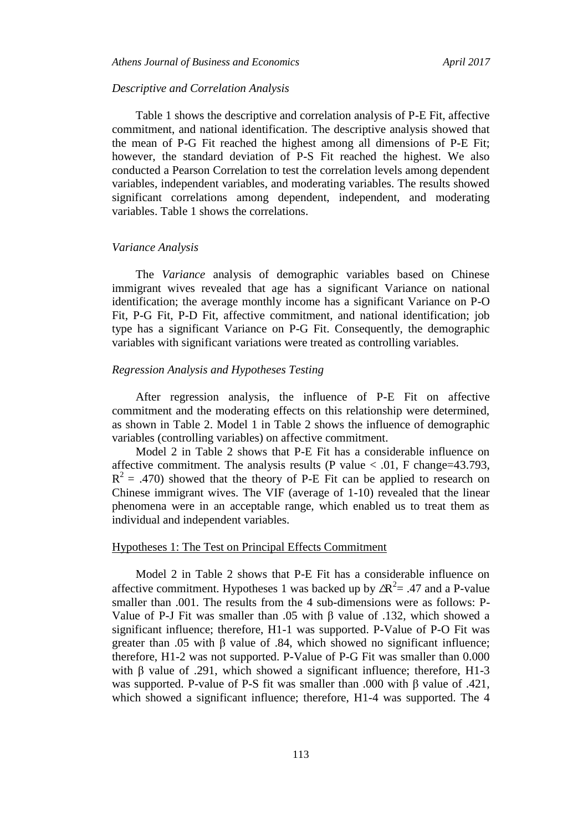#### *Descriptive and Correlation Analysis*

Table 1 shows the descriptive and correlation analysis of P-E Fit, affective commitment, and national identification. The descriptive analysis showed that the mean of P-G Fit reached the highest among all dimensions of P-E Fit; however, the standard deviation of P-S Fit reached the highest. We also conducted a Pearson Correlation to test the correlation levels among dependent variables, independent variables, and moderating variables. The results showed significant correlations among dependent, independent, and moderating variables. Table 1 shows the correlations.

#### *Variance Analysis*

The *Variance* analysis of demographic variables based on Chinese immigrant wives revealed that age has a significant Variance on national identification; the average monthly income has a significant Variance on P-O Fit, P-G Fit, P-D Fit, affective commitment, and national identification; job type has a significant Variance on P-G Fit. Consequently, the demographic variables with significant variations were treated as controlling variables.

#### *Regression Analysis and Hypotheses Testing*

After regression analysis, the influence of P-E Fit on affective commitment and the moderating effects on this relationship were determined, as shown in Table 2. Model 1 in Table 2 shows the influence of demographic variables (controlling variables) on affective commitment.

Model 2 in Table 2 shows that P-E Fit has a considerable influence on affective commitment. The analysis results (P value  $< .01$ , F change=43.793,  $R<sup>2</sup> = .470$ ) showed that the theory of P-E Fit can be applied to research on Chinese immigrant wives. The VIF (average of 1-10) revealed that the linear phenomena were in an acceptable range, which enabled us to treat them as individual and independent variables.

## Hypotheses 1: The Test on Principal Effects Commitment

Model 2 in Table 2 shows that P-E Fit has a considerable influence on affective commitment. Hypotheses 1 was backed up by  $\Delta R^2 = .47$  and a P-value smaller than .001. The results from the 4 sub-dimensions were as follows: P-Value of P-J Fit was smaller than .05 with β value of .132, which showed a significant influence; therefore, H1-1 was supported. P-Value of P-O Fit was greater than .05 with β value of .84, which showed no significant influence; therefore, H1-2 was not supported. P-Value of P-G Fit was smaller than 0.000 with β value of .291, which showed a significant influence; therefore, H1-3 was supported. P-value of P-S fit was smaller than .000 with β value of .421, which showed a significant influence; therefore, H1-4 was supported. The 4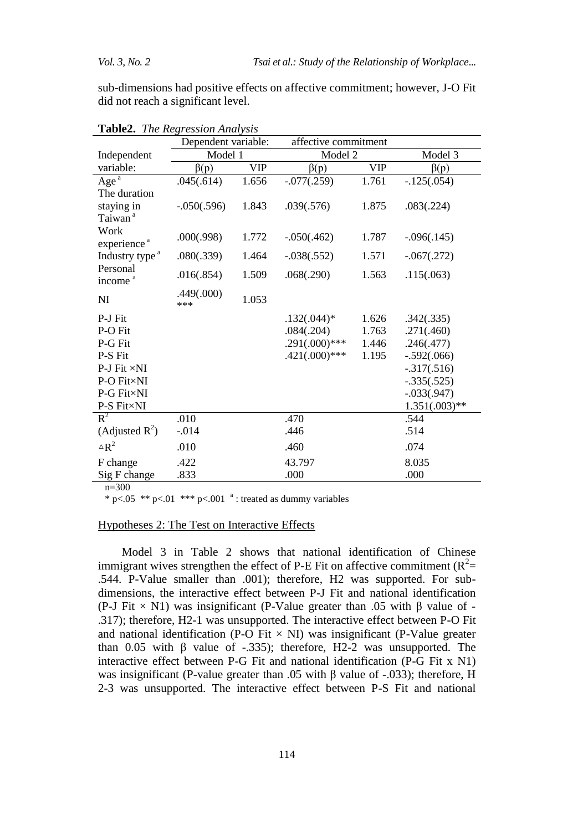sub-dimensions had positive effects on affective commitment; however, J-O Fit did not reach a significant level.

|                                        | Dependent variable: |            | affective commitment |            |                 |
|----------------------------------------|---------------------|------------|----------------------|------------|-----------------|
| Independent                            | Model 1             |            | Model 2              | Model 3    |                 |
| variable:                              | $\beta(p)$          | <b>VIP</b> | $\beta(p)$           | <b>VIP</b> | $\beta(p)$      |
| Age $a$                                | .045(.614)          | 1.656      | $-.077(.259)$        | 1.761      | $-.125(.054)$   |
| The duration                           |                     |            |                      |            |                 |
| staying in                             | $-.050(.596)$       | 1.843      | .039(.576)           | 1.875      | .083(.224)      |
| Taiwan <sup>a</sup>                    |                     |            |                      |            |                 |
| Work                                   | .000(.998)          | 1.772      | $-.050(.462)$        | 1.787      | $-.096(.145)$   |
| experience <sup>a</sup>                |                     | 1.464      |                      | 1.571      |                 |
| Industry type <sup>a</sup><br>Personal | .080(.339)          |            | $-.038(.552)$        |            | $-.067(.272)$   |
| income <sup>a</sup>                    | .016(.854)          | 1.509      | .068(.290)           | 1.563      | .115(.063)      |
| NI                                     | .449(.000)          | 1.053      |                      |            |                 |
|                                        | ***                 |            |                      |            |                 |
| P-J Fit                                |                     |            | $.132(.044)*$        | 1.626      | .342(.335)      |
| P-O Fit                                |                     |            | .084(.204)           | 1.763      | .271(.460)      |
| P-G Fit                                |                     |            | $.291(.000)$ ***     | 1.446      | .246(.477)      |
| P-S Fit                                |                     |            | $.421(.000)***$      | 1.195      | $-.592(.066)$   |
| $P-J$ Fit $\times NI$                  |                     |            |                      |            | $-.317(.516)$   |
| P-O Fit×NI                             |                     |            |                      |            | $-.335(.525)$   |
| P-G Fit×NI                             |                     |            |                      |            | $-.033(.947)$   |
| P-S Fit×NI                             |                     |            |                      |            | $1.351(.003)**$ |
| $R^2$                                  | .010                |            | .470                 |            | .544            |
| (Adjusted $R^2$ )                      | $-0.014$            |            | .446                 |            | .514            |
| $\Delta R^2$                           | .010                |            | .460                 |            | .074            |
| F change                               | .422                |            | 43.797               |            | 8.035           |
| Sig F change                           | .833                |            | .000                 |            | .000            |

**Table2.** *The Regression Analysis* 

 $n=300$ 

\* p<.05 \*\* p<.01 \*\*\* p<.001  $\degree$  : treated as dummy variables

## Hypotheses 2: The Test on Interactive Effects

Model 3 in Table 2 shows that national identification of Chinese immigrant wives strengthen the effect of P-E Fit on affective commitment ( $R^2$ = .544. P-Value smaller than .001); therefore, H2 was supported. For subdimensions, the interactive effect between P-J Fit and national identification (P-J Fit  $\times$  N1) was insignificant (P-Value greater than .05 with  $\beta$  value of -.317); therefore, H2-1 was unsupported. The interactive effect between P-O Fit and national identification (P-O Fit  $\times$  NI) was insignificant (P-Value greater than 0.05 with β value of -.335); therefore, H2-2 was unsupported. The interactive effect between P-G Fit and national identification (P-G Fit x N1) was insignificant (P-value greater than .05 with  $\beta$  value of -.033); therefore, H 2-3 was unsupported. The interactive effect between P-S Fit and national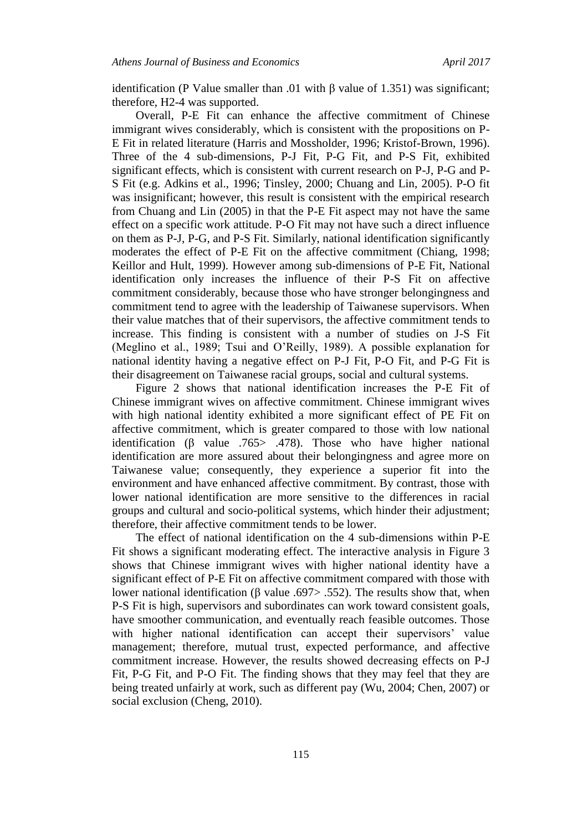identification (P Value smaller than .01 with β value of 1.351) was significant; therefore, H2-4 was supported.

Overall, P-E Fit can enhance the affective commitment of Chinese immigrant wives considerably, which is consistent with the propositions on P-E Fit in related literature (Harris and Mossholder, 1996; Kristof-Brown, 1996). Three of the 4 sub-dimensions, P-J Fit, P-G Fit, and P-S Fit, exhibited significant effects, which is consistent with current research on P-J, P-G and P-S Fit (e.g. Adkins et al., 1996; Tinsley, 2000; Chuang and Lin, 2005). P-O fit was insignificant; however, this result is consistent with the empirical research from Chuang and Lin (2005) in that the P-E Fit aspect may not have the same effect on a specific work attitude. P-O Fit may not have such a direct influence on them as P-J, P-G, and P-S Fit. Similarly, national identification significantly moderates the effect of P-E Fit on the affective commitment (Chiang, 1998; Keillor and Hult, 1999). However among sub-dimensions of P-E Fit, National identification only increases the influence of their P-S Fit on affective commitment considerably, because those who have stronger belongingness and commitment tend to agree with the leadership of Taiwanese supervisors. When their value matches that of their supervisors, the affective commitment tends to increase. This finding is consistent with a number of studies on J-S Fit (Meglino et al., 1989; Tsui and O'Reilly, 1989). A possible explanation for national identity having a negative effect on P-J Fit, P-O Fit, and P-G Fit is their disagreement on Taiwanese racial groups, social and cultural systems.

Figure 2 shows that national identification increases the P-E Fit of Chinese immigrant wives on affective commitment. Chinese immigrant wives with high national identity exhibited a more significant effect of PE Fit on affective commitment, which is greater compared to those with low national identification (β value .765> .478). Those who have higher national identification are more assured about their belongingness and agree more on Taiwanese value; consequently, they experience a superior fit into the environment and have enhanced affective commitment. By contrast, those with lower national identification are more sensitive to the differences in racial groups and cultural and socio-political systems, which hinder their adjustment; therefore, their affective commitment tends to be lower.

The effect of national identification on the 4 sub-dimensions within P-E Fit shows a significant moderating effect. The interactive analysis in Figure 3 shows that Chinese immigrant wives with higher national identity have a significant effect of P-E Fit on affective commitment compared with those with lower national identification (β value .697> .552). The results show that, when P-S Fit is high, supervisors and subordinates can work toward consistent goals, have smoother communication, and eventually reach feasible outcomes. Those with higher national identification can accept their supervisors' value management; therefore, mutual trust, expected performance, and affective commitment increase. However, the results showed decreasing effects on P-J Fit, P-G Fit, and P-O Fit. The finding shows that they may feel that they are being treated unfairly at work, such as different pay (Wu, 2004; Chen, 2007) or social exclusion (Cheng, 2010).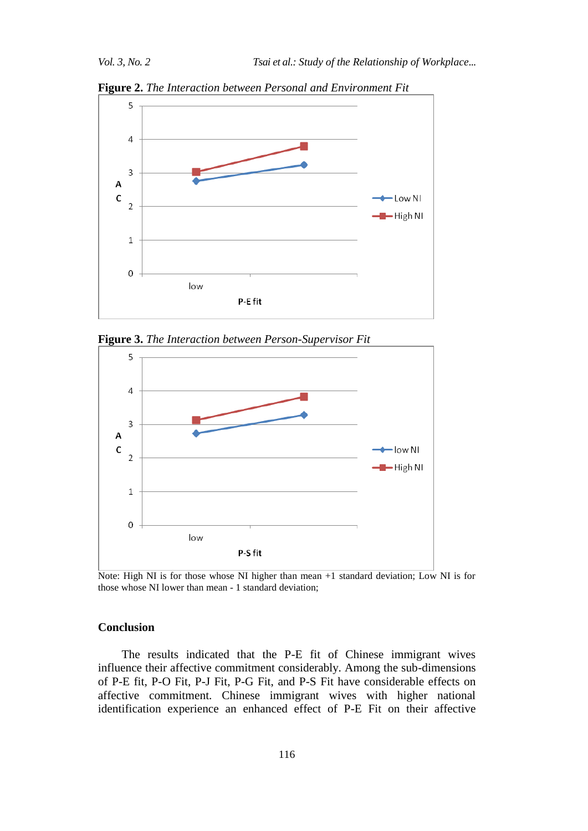



**Figure 3.** *The Interaction between Person-Supervisor Fit*



Note: High NI is for those whose NI higher than mean +1 standard deviation; Low NI is for those whose NI lower than mean - 1 standard deviation;

## **Conclusion**

The results indicated that the P-E fit of Chinese immigrant wives influence their affective commitment considerably. Among the sub-dimensions of P-E fit, P-O Fit, P-J Fit, P-G Fit, and P-S Fit have considerable effects on affective commitment. Chinese immigrant wives with higher national identification experience an enhanced effect of P-E Fit on their affective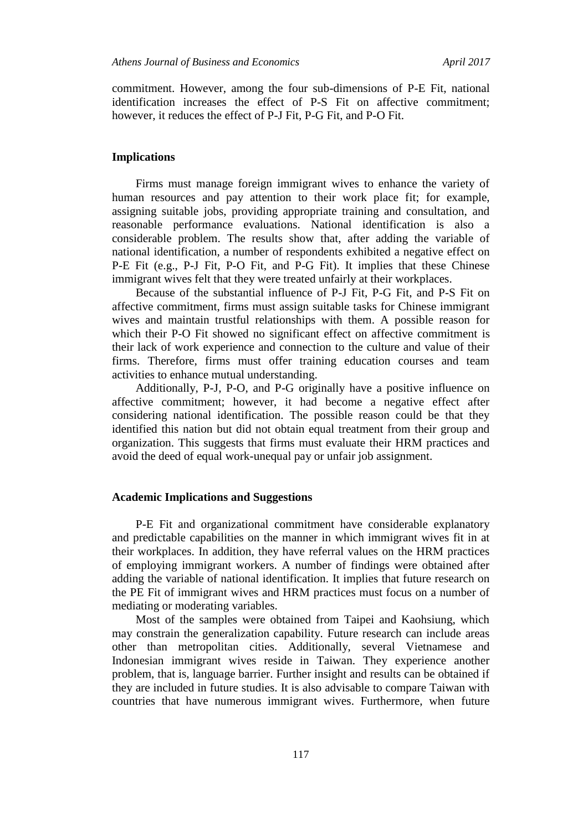commitment. However, among the four sub-dimensions of P-E Fit, national identification increases the effect of P-S Fit on affective commitment; however, it reduces the effect of P-J Fit, P-G Fit, and P-O Fit.

## **Implications**

Firms must manage foreign immigrant wives to enhance the variety of human resources and pay attention to their work place fit; for example, assigning suitable jobs, providing appropriate training and consultation, and reasonable performance evaluations. National identification is also a considerable problem. The results show that, after adding the variable of national identification, a number of respondents exhibited a negative effect on P-E Fit (e.g., P-J Fit, P-O Fit, and P-G Fit). It implies that these Chinese immigrant wives felt that they were treated unfairly at their workplaces.

Because of the substantial influence of P-J Fit, P-G Fit, and P-S Fit on affective commitment, firms must assign suitable tasks for Chinese immigrant wives and maintain trustful relationships with them. A possible reason for which their P-O Fit showed no significant effect on affective commitment is their lack of work experience and connection to the culture and value of their firms. Therefore, firms must offer training education courses and team activities to enhance mutual understanding.

Additionally, P-J, P-O, and P-G originally have a positive influence on affective commitment; however, it had become a negative effect after considering national identification. The possible reason could be that they identified this nation but did not obtain equal treatment from their group and organization. This suggests that firms must evaluate their HRM practices and avoid the deed of equal work-unequal pay or unfair job assignment.

## **Academic Implications and Suggestions**

P-E Fit and organizational commitment have considerable explanatory and predictable capabilities on the manner in which immigrant wives fit in at their workplaces. In addition, they have referral values on the HRM practices of employing immigrant workers. A number of findings were obtained after adding the variable of national identification. It implies that future research on the PE Fit of immigrant wives and HRM practices must focus on a number of mediating or moderating variables.

Most of the samples were obtained from Taipei and Kaohsiung, which may constrain the generalization capability. Future research can include areas other than metropolitan cities. Additionally, several Vietnamese and Indonesian immigrant wives reside in Taiwan. They experience another problem, that is, language barrier. Further insight and results can be obtained if they are included in future studies. It is also advisable to compare Taiwan with countries that have numerous immigrant wives. Furthermore, when future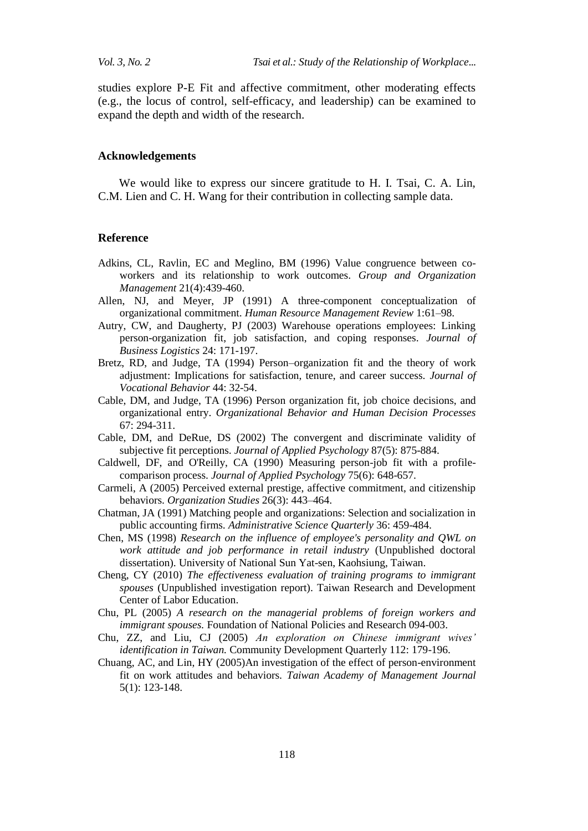studies explore P-E Fit and affective commitment, other moderating effects (e.g., the locus of control, self-efficacy, and leadership) can be examined to expand the depth and width of the research.

## **Acknowledgements**

We would like to express our sincere gratitude to H. I. Tsai, C. A. Lin, C.M. Lien and C. H. Wang for their contribution in collecting sample data.

#### **Reference**

- Adkins, CL, Ravlin, EC and Meglino, BM (1996) Value congruence between coworkers and its relationship to work outcomes. *Group and Organization Management* 21(4):439-460.
- Allen, NJ, and Meyer, JP (1991) A three-component conceptualization of organizational commitment. *Human Resource Management Review* 1:61–98.
- Autry, CW, and Daugherty, PJ (2003) Warehouse operations employees: Linking person-organization fit, job satisfaction, and coping responses. *Journal of Business Logistics* 24: 171-197.
- Bretz, RD, and Judge, TA (1994) Person–organization fit and the theory of work adjustment: Implications for satisfaction, tenure, and career success. *Journal of Vocational Behavior* 44: 32-54.
- Cable, DM, and Judge, TA (1996) Person organization fit, job choice decisions, and organizational entry. *Organizational Behavior and Human Decision Processes*  67: 294-311.
- Cable, DM, and DeRue, DS (2002) The convergent and discriminate validity of subjective fit perceptions. *Journal of Applied Psychology* 87(5): 875-884.
- Caldwell, DF, and O'Reilly, CA (1990) Measuring person-job fit with a profilecomparison process. *Journal of Applied Psychology* 75(6): 648-657.
- Carmeli, A (2005) Perceived external prestige, affective commitment, and citizenship behaviors. *Organization Studies* 26(3): 443–464.
- Chatman, JA (1991) Matching people and organizations: Selection and socialization in public accounting firms. *Administrative Science Quarterly* 36: 459-484.
- Chen, MS (1998) *Research on the influence of employee's personality and QWL on work attitude and job performance in retail industry* (Unpublished doctoral dissertation). University of National Sun Yat-sen, Kaohsiung, Taiwan.
- Cheng, CY (2010) *The effectiveness evaluation of training programs to immigrant spouses* (Unpublished investigation report). Taiwan Research and Development Center of Labor Education.
- Chu, PL (2005) *A research on the managerial problems of foreign workers and immigrant spouses.* Foundation of National Policies and Research 094-003.
- Chu, ZZ, and Liu, CJ (2005) *An exploration on Chinese immigrant wives' identification in Taiwan.* Community Development Quarterly 112: 179-196.
- Chuang, AC, and Lin, HY (2005)An investigation of the effect of person-environment fit on work attitudes and behaviors. *Taiwan Academy of Management Journal* 5(1): 123-148.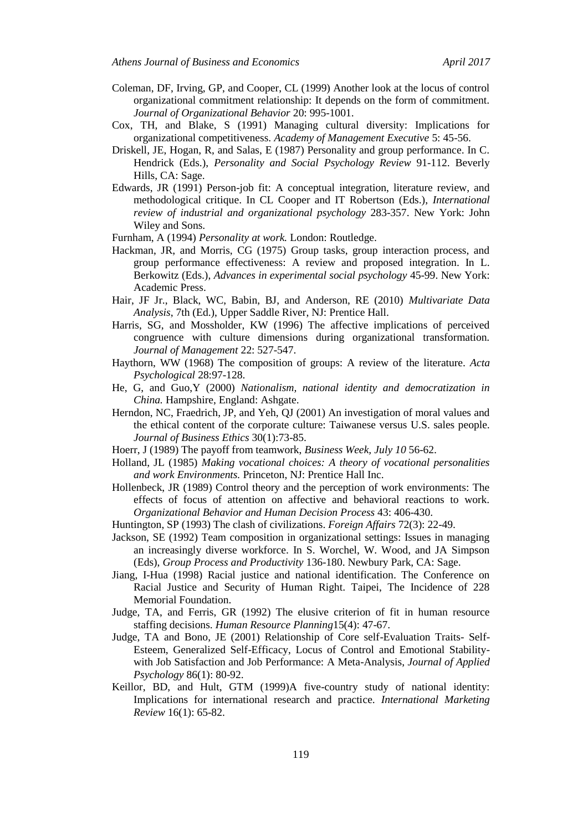- Coleman, DF, Irving, GP, and Cooper, CL (1999) Another look at the locus of control organizational commitment relationship: It depends on the form of commitment. *Journal of Organizational Behavior* 20: 995-1001.
- Cox, TH, and Blake, S (1991) Managing cultural diversity: Implications for organizational competitiveness. *Academy of Management Executive* 5: 45-56.
- Driskell, JE, Hogan, R, and Salas, E (1987) Personality and group performance. In C. Hendrick (Eds.), *Personality and Social Psychology Review* 91-112. Beverly Hills, CA: Sage.
- Edwards, JR (1991) Person-job fit: A conceptual integration, literature review, and methodological critique. In CL Cooper and IT Robertson (Eds.), *International review of industrial and organizational psychology* 283-357. New York: John Wiley and Sons.
- Furnham, A (1994) *Personality at work.* London: Routledge.
- Hackman, JR, and Morris, CG (1975) Group tasks, group interaction process, and group performance effectiveness: A review and proposed integration. In L. Berkowitz (Eds.), *Advances in experimental social psychology* 45-99. New York: Academic Press.
- Hair, JF Jr., Black, WC, Babin, BJ, and Anderson, RE (2010) *Multivariate Data Analysis*, 7th (Ed.), Upper Saddle River, NJ: Prentice Hall.
- Harris, SG, and Mossholder, KW (1996) The affective implications of perceived congruence with culture dimensions during organizational transformation. *Journal of Management* 22: 527-547.
- Haythorn, WW (1968) The composition of groups: A review of the literature. *Acta Psychological* 28:97-128.
- He, G, and Guo,Y (2000) *Nationalism, national identity and democratization in China.* Hampshire, England: Ashgate.
- Herndon, NC, Fraedrich, JP, and Yeh, QJ (2001) An investigation of moral values and the ethical content of the corporate culture: Taiwanese versus U.S. sales people. *Journal of Business Ethics* 30(1):73-85.
- Hoerr, J (1989) The payoff from teamwork, *Business Week, July 10* 56-62.
- Holland, JL (1985) *Making vocational choices: A theory of vocational personalities and work Environments.* Princeton, NJ: Prentice Hall Inc.
- Hollenbeck, JR (1989) Control theory and the perception of work environments: The effects of focus of attention on affective and behavioral reactions to work. *Organizational Behavior and Human Decision Process* 43: 406-430.
- Huntington, SP (1993) The clash of civilizations. *Foreign Affairs* 72(3): 22-49.
- Jackson, SE (1992) Team composition in organizational settings: Issues in managing an increasingly diverse workforce. In S. Worchel, W. Wood, and JA Simpson (Eds), *Group Process and Productivity* 136-180. Newbury Park, CA: Sage.
- Jiang, I-Hua (1998) Racial justice and national identification. The Conference on Racial Justice and Security of Human Right. Taipei, The Incidence of 228 Memorial Foundation.
- Judge, TA, and Ferris, GR (1992) The elusive criterion of fit in human resource staffing decisions. *Human Resource Planning*15(4): 47-67.
- Judge, TA and Bono, JE (2001) Relationship of Core self-Evaluation Traits- Self-Esteem, Generalized Self-Efficacy, Locus of Control and Emotional Stabilitywith Job Satisfaction and Job Performance: A Meta-Analysis, *Journal of Applied Psychology* 86(1): 80-92.
- Keillor, BD, and Hult, GTM (1999)A five-country study of national identity: Implications for international research and practice. *International Marketing Review* 16(1): 65-82.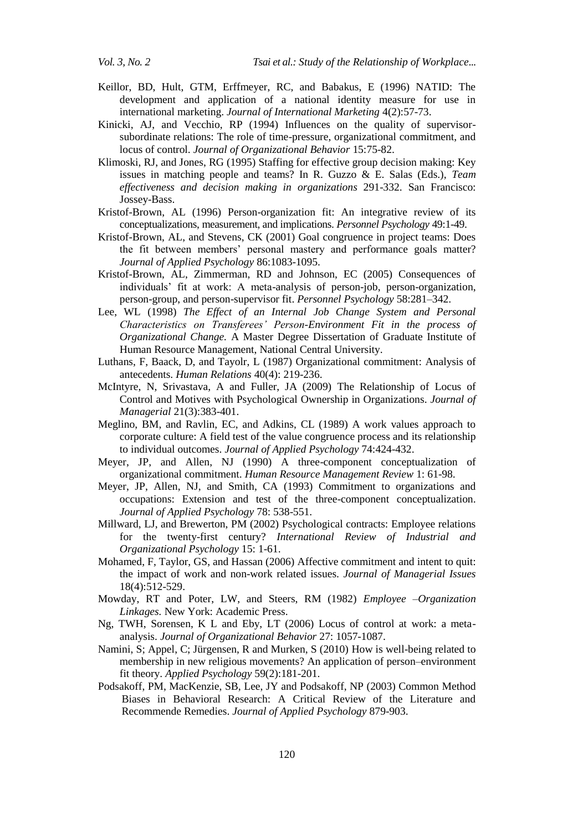- Keillor, BD, Hult, GTM, Erffmeyer, RC, and Babakus, E (1996) NATID: The development and application of a national identity measure for use in international marketing. *Journal of International Marketing* 4(2):57-73.
- Kinicki, AJ, and Vecchio, RP (1994) Influences on the quality of supervisorsubordinate relations: The role of time-pressure, organizational commitment, and locus of control. *Journal of Organizational Behavior* 15:75-82.
- Klimoski, RJ, and Jones, RG (1995) Staffing for effective group decision making: Key issues in matching people and teams? In R. Guzzo & E. Salas (Eds.), *Team effectiveness and decision making in organizations* 291-332. San Francisco: Jossey-Bass.
- Kristof-Brown, AL (1996) Person-organization fit: An integrative review of its conceptualizations, measurement, and implications. *Personnel Psychology* 49:1-49.
- Kristof-Brown, AL, and Stevens, CK (2001) Goal congruence in project teams: Does the fit between members' personal mastery and performance goals matter? *Journal of Applied Psychology* 86:1083-1095.
- Kristof-Brown, AL, Zimmerman, RD and Johnson, EC (2005) Consequences of individuals' fit at work: A meta-analysis of person-job, person-organization, person-group, and person-supervisor fit. *Personnel Psychology* 58:281–342.
- Lee, WL (1998) *The Effect of an Internal Job Change System and Personal Characteristics on Transferees' Person-Environment Fit in the process of Organizational Change.* A Master Degree Dissertation of Graduate Institute of Human Resource Management, National Central University.
- Luthans, F, Baack, D, and Tayolr, L (1987) Organizational commitment: Analysis of antecedents. *Human Relations* 40(4): 219-236.
- McIntyre, N, Srivastava, A and Fuller, JA (2009) The Relationship of Locus of Control and Motives with Psychological Ownership in Organizations. *Journal of Managerial* 21(3):383-401.
- Meglino, BM, and Ravlin, EC, and Adkins, CL (1989) A work values approach to corporate culture: A field test of the value congruence process and its relationship to individual outcomes. *Journal of Applied Psychology* 74:424-432.
- Meyer, JP, and Allen, NJ (1990) A three-component conceptualization of organizational commitment. *Human Resource Management Review* 1: 61-98.
- Meyer, JP, Allen, NJ, and Smith, CA (1993) Commitment to organizations and occupations: Extension and test of the three-component conceptualization. *Journal of Applied Psychology* 78: 538-551.
- Millward, LJ, and Brewerton, PM (2002) Psychological contracts: Employee relations for the twenty-first century? *International Review of Industrial and Organizational Psychology* 15: 1-61.
- Mohamed, F, Taylor, GS, and Hassan (2006) Affective commitment and intent to quit: the impact of work and non-work related issues. *Journal of Managerial Issues* 18(4):512-529.
- Mowday, RT and Poter, LW, and Steers, RM (1982) *Employee –Organization Linkages.* New York: Academic Press.
- Ng, TWH, Sorensen, K L and Eby, LT (2006) Locus of control at work: a metaanalysis. *Journal of Organizational Behavior* 27: 1057-1087.
- Namini, S; Appel, C; Jürgensen, R and Murken, S (2010) How is well-being related to membership in new religious movements? An application of person–environment fit theory. *Applied Psychology* 59(2):181-201.
- Podsakoff, PM, MacKenzie, SB, Lee, JY and Podsakoff, NP (2003) Common Method Biases in Behavioral Research: A Critical Review of the Literature and Recommende Remedies. *Journal of Applied Psychology* 879-903.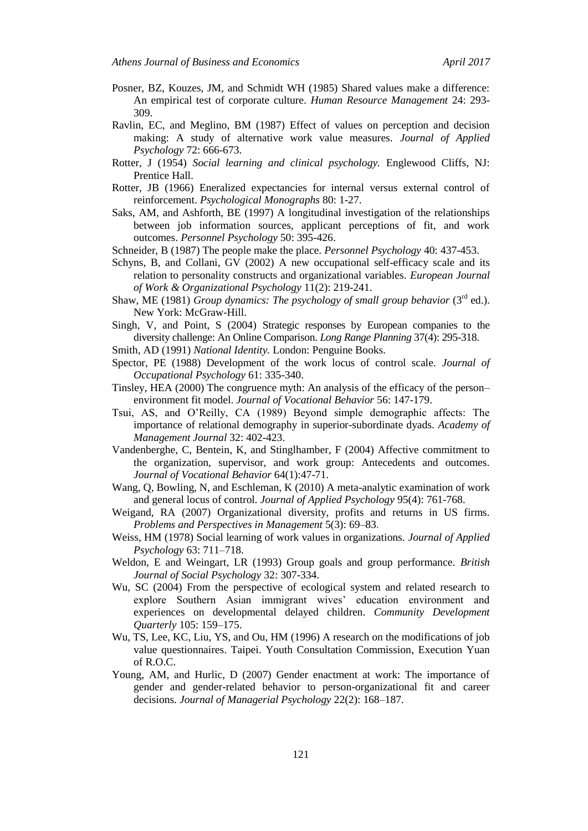- Posner, BZ, Kouzes, JM, and Schmidt WH (1985) Shared values make a difference: An empirical test of corporate culture. *Human Resource Management* 24: 293- 309.
- Ravlin, EC, and Meglino, BM (1987) Effect of values on perception and decision making: A study of alternative work value measures. *Journal of Applied Psychology* 72: 666-673.
- Rotter, J (1954) *Social learning and clinical psychology.* Englewood Cliffs, NJ: Prentice Hall.
- Rotter, JB (1966) Eneralized expectancies for internal versus external control of reinforcement. *Psychological Monographs* 80: 1-27.
- Saks, AM, and Ashforth, BE (1997) A longitudinal investigation of the relationships between job information sources, applicant perceptions of fit, and work outcomes. *Personnel Psychology* 50: 395-426.
- Schneider, B (1987) The people make the place. *Personnel Psychology* 40: 437-453.
- Schyns, B, and Collani, GV (2002) A new occupational self-efficacy scale and its relation to personality constructs and organizational variables. *European Journal of Work & Organizational Psychology* 11(2): 219-241.
- Shaw, ME (1981) *Group dynamics: The psychology of small group behavior* (3<sup>rd</sup> ed.). New York: McGraw-Hill.
- Singh, V, and Point, S (2004) [Strategic responses by European companies to the](http://www.sciencedirect.com/science?_ob=ArticleURL&_udi=B6V6K-4CX6WKW-1&_user=10&_coverDate=08%2F31%2F2004&_rdoc=1&_fmt=high&_orig=browse&_cdi=5817&_sort=d&_docanchor=&view=c&_ct=1&_refLink=Y&_acct=C000050221&_version=1&_urlVersion=0&_userid=10&md5=a33e323166e59c62df6f7425702bbacd)  [diversity challenge: An Online Comparison.](http://www.sciencedirect.com/science?_ob=ArticleURL&_udi=B6V6K-4CX6WKW-1&_user=10&_coverDate=08%2F31%2F2004&_rdoc=1&_fmt=high&_orig=browse&_cdi=5817&_sort=d&_docanchor=&view=c&_ct=1&_refLink=Y&_acct=C000050221&_version=1&_urlVersion=0&_userid=10&md5=a33e323166e59c62df6f7425702bbacd) *Long Range Planning* 37(4): 295-318.
- Smith, AD (1991) *National Identity.* London: Penguine Books.
- Spector, PE (1988) Development of the work locus of control scale. *Journal of Occupational Psychology* 61: 335-340.
- Tinsley, HEA (2000) The congruence myth: An analysis of the efficacy of the person– environment fit model. *Journal of Vocational Behavior* 56: 147-179.
- Tsui, AS, and O'Reilly, CA (1989) Beyond simple demographic affects: The importance of relational demography in superior-subordinate dyads. *Academy of Management Journal* 32: 402-423.
- Vandenberghe, C, Bentein, K, and Stinglhamber, F (2004) Affective commitment to the organization, supervisor, and work group: Antecedents and outcomes. *[Journal of Vocational Behavior](http://www.sciencedirect.com/science/journal/00018791)* 64(1):47-71.
- Wang, Q, Bowling, N, and Eschleman, K (2010) A meta-analytic examination of work and general locus of control. *Journal of Applied Psychology* 95(4): 761-768.
- Weigand, RA (2007) Organizational diversity, profits and returns in US firms. *Problems and Perspectives in Management* 5(3): 69–83.
- Weiss, HM (1978) Social learning of work values in organizations. *Journal of Applied Psychology* 63: 711–718.
- Weldon, E and Weingart, LR (1993) Group goals and group performance. *British Journal of Social Psychology* 32: 307-334.
- Wu, SC (2004) From the perspective of ecological system and related research to explore Southern Asian immigrant wives' education environment and experiences on developmental delayed children. *Community Development Quarterly* 105: 159–175.
- Wu, TS, Lee, KC, Liu, YS, and Ou, HM (1996) A research on the modifications of job value questionnaires. Taipei. Youth Consultation Commission, Execution Yuan of R.O.C.
- Young, AM, and Hurlic, D (2007) Gender enactment at work: The importance of gender and gender-related behavior to person-organizational fit and career decisions. *Journal of Managerial Psychology* 22(2): 168–187.